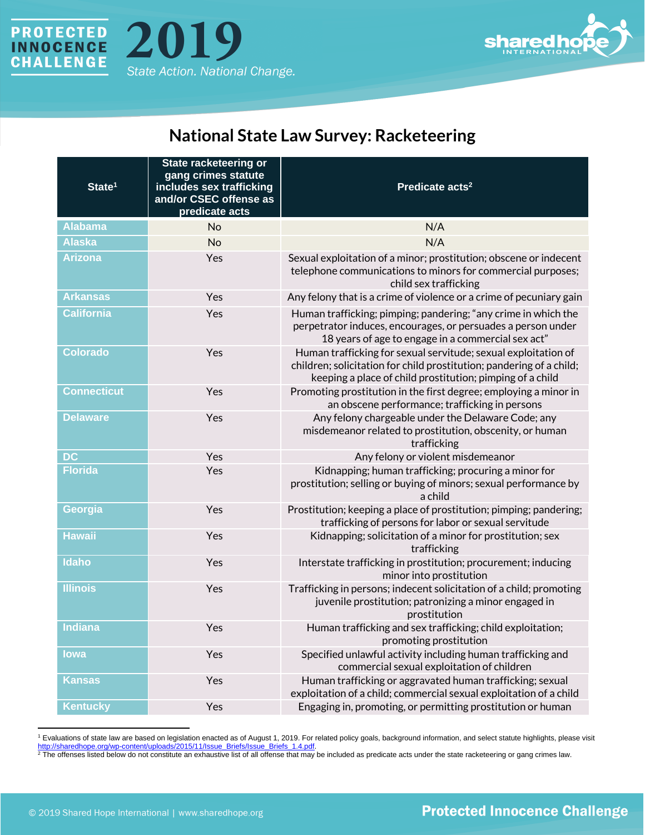



## **National State Law Survey: Racketeering**

| State <sup>1</sup> | State racketeering or<br>gang crimes statute<br>includes sex trafficking<br>and/or CSEC offense as<br>predicate acts | Predicate acts <sup>2</sup>                                                                                                                                                                         |
|--------------------|----------------------------------------------------------------------------------------------------------------------|-----------------------------------------------------------------------------------------------------------------------------------------------------------------------------------------------------|
| <b>Alabama</b>     | <b>No</b>                                                                                                            | N/A                                                                                                                                                                                                 |
| <b>Alaska</b>      | No                                                                                                                   | N/A                                                                                                                                                                                                 |
| <b>Arizona</b>     | Yes                                                                                                                  | Sexual exploitation of a minor; prostitution; obscene or indecent<br>telephone communications to minors for commercial purposes;<br>child sex trafficking                                           |
| <b>Arkansas</b>    | Yes                                                                                                                  | Any felony that is a crime of violence or a crime of pecuniary gain                                                                                                                                 |
| <b>California</b>  | Yes                                                                                                                  | Human trafficking; pimping; pandering; "any crime in which the<br>perpetrator induces, encourages, or persuades a person under<br>18 years of age to engage in a commercial sex act"                |
| <b>Colorado</b>    | Yes                                                                                                                  | Human trafficking for sexual servitude; sexual exploitation of<br>children; solicitation for child prostitution; pandering of a child;<br>keeping a place of child prostitution; pimping of a child |
| <b>Connecticut</b> | Yes                                                                                                                  | Promoting prostitution in the first degree; employing a minor in<br>an obscene performance; trafficking in persons                                                                                  |
| <b>Delaware</b>    | Yes                                                                                                                  | Any felony chargeable under the Delaware Code; any<br>misdemeanor related to prostitution, obscenity, or human<br>trafficking                                                                       |
| <b>DC</b>          | Yes                                                                                                                  | Any felony or violent misdemeanor                                                                                                                                                                   |
| <b>Florida</b>     | Yes                                                                                                                  | Kidnapping; human trafficking; procuring a minor for<br>prostitution; selling or buying of minors; sexual performance by<br>a child                                                                 |
| Georgia            | Yes                                                                                                                  | Prostitution; keeping a place of prostitution; pimping; pandering;<br>trafficking of persons for labor or sexual servitude                                                                          |
| <b>Hawaii</b>      | Yes                                                                                                                  | Kidnapping; solicitation of a minor for prostitution; sex<br>trafficking                                                                                                                            |
| <b>Idaho</b>       | Yes                                                                                                                  | Interstate trafficking in prostitution; procurement; inducing<br>minor into prostitution                                                                                                            |
| <b>Illinois</b>    | Yes                                                                                                                  | Trafficking in persons; indecent solicitation of a child; promoting<br>juvenile prostitution; patronizing a minor engaged in<br>prostitution                                                        |
| <b>Indiana</b>     | Yes                                                                                                                  | Human trafficking and sex trafficking; child exploitation;<br>promoting prostitution                                                                                                                |
| lowa               | Yes                                                                                                                  | Specified unlawful activity including human trafficking and<br>commercial sexual exploitation of children                                                                                           |
| <b>Kansas</b>      | Yes                                                                                                                  | Human trafficking or aggravated human trafficking; sexual<br>exploitation of a child; commercial sexual exploitation of a child                                                                     |
| <b>Kentucky</b>    | Yes                                                                                                                  | Engaging in, promoting, or permitting prostitution or human                                                                                                                                         |

<sup>1</sup> Evaluations of state law are based on legislation enacted as of August 1, 2019. For related policy goals, background information, and select statute highlights, please visit http://sharedhope.org/wp-content/uploads/2015/11/Issue\_Briefs/Issue\_Briefs\_1.4.pdf.

<sup>2</sup> The offenses listed below do not constitute an exhaustive list of all offense that may be included as predicate acts under the state racketeering or gang crimes law.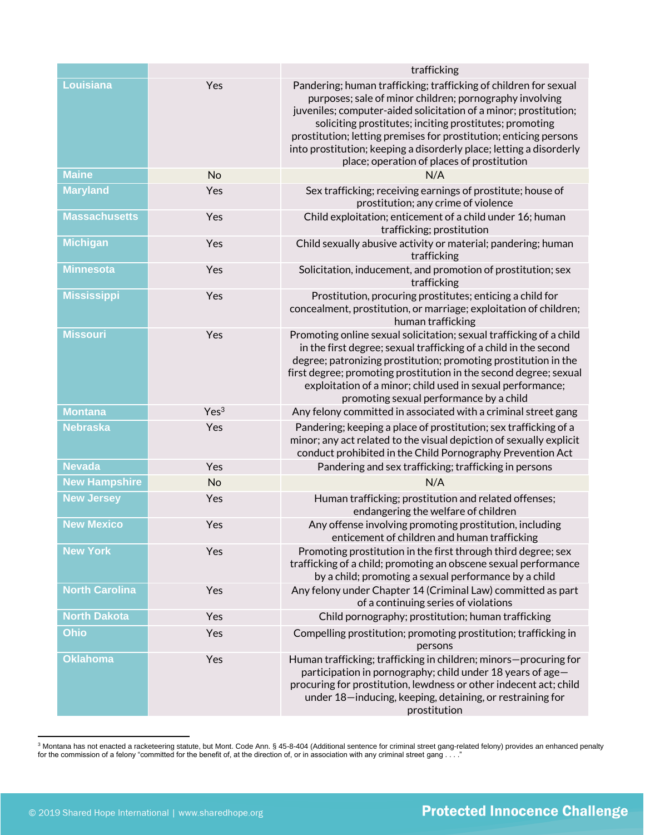|                       |                  | trafficking                                                                                                                                                                                                                                                                                                                                                                                                                                          |
|-----------------------|------------------|------------------------------------------------------------------------------------------------------------------------------------------------------------------------------------------------------------------------------------------------------------------------------------------------------------------------------------------------------------------------------------------------------------------------------------------------------|
| Louisiana             | Yes              | Pandering; human trafficking; trafficking of children for sexual<br>purposes; sale of minor children; pornography involving<br>juveniles; computer-aided solicitation of a minor; prostitution;<br>soliciting prostitutes; inciting prostitutes; promoting<br>prostitution; letting premises for prostitution; enticing persons<br>into prostitution; keeping a disorderly place; letting a disorderly<br>place; operation of places of prostitution |
| <b>Maine</b>          | No               | N/A                                                                                                                                                                                                                                                                                                                                                                                                                                                  |
| <b>Maryland</b>       | Yes              | Sex trafficking; receiving earnings of prostitute; house of<br>prostitution; any crime of violence                                                                                                                                                                                                                                                                                                                                                   |
| <b>Massachusetts</b>  | Yes              | Child exploitation; enticement of a child under 16; human<br>trafficking; prostitution                                                                                                                                                                                                                                                                                                                                                               |
| <b>Michigan</b>       | Yes              | Child sexually abusive activity or material; pandering; human<br>trafficking                                                                                                                                                                                                                                                                                                                                                                         |
| <b>Minnesota</b>      | Yes              | Solicitation, inducement, and promotion of prostitution; sex<br>trafficking                                                                                                                                                                                                                                                                                                                                                                          |
| <b>Mississippi</b>    | Yes              | Prostitution, procuring prostitutes; enticing a child for<br>concealment, prostitution, or marriage; exploitation of children;<br>human trafficking                                                                                                                                                                                                                                                                                                  |
| <b>Missouri</b>       | Yes              | Promoting online sexual solicitation; sexual trafficking of a child<br>in the first degree; sexual trafficking of a child in the second<br>degree; patronizing prostitution; promoting prostitution in the<br>first degree; promoting prostitution in the second degree; sexual<br>exploitation of a minor; child used in sexual performance;<br>promoting sexual performance by a child                                                             |
| <b>Montana</b>        | Yes <sup>3</sup> | Any felony committed in associated with a criminal street gang                                                                                                                                                                                                                                                                                                                                                                                       |
| <b>Nebraska</b>       | Yes              | Pandering; keeping a place of prostitution; sex trafficking of a<br>minor; any act related to the visual depiction of sexually explicit<br>conduct prohibited in the Child Pornography Prevention Act                                                                                                                                                                                                                                                |
| <b>Nevada</b>         | Yes              | Pandering and sex trafficking; trafficking in persons                                                                                                                                                                                                                                                                                                                                                                                                |
| <b>New Hampshire</b>  | No               | N/A                                                                                                                                                                                                                                                                                                                                                                                                                                                  |
| <b>New Jersey</b>     | Yes              | Human trafficking; prostitution and related offenses;<br>endangering the welfare of children                                                                                                                                                                                                                                                                                                                                                         |
| <b>New Mexico</b>     | Yes              | Any offense involving promoting prostitution, including<br>enticement of children and human trafficking                                                                                                                                                                                                                                                                                                                                              |
| <b>New York</b>       | Yes              | Promoting prostitution in the first through third degree; sex<br>trafficking of a child; promoting an obscene sexual performance<br>by a child; promoting a sexual performance by a child                                                                                                                                                                                                                                                            |
| <b>North Carolina</b> | Yes              | Any felony under Chapter 14 (Criminal Law) committed as part<br>of a continuing series of violations                                                                                                                                                                                                                                                                                                                                                 |
| <b>North Dakota</b>   | Yes              | Child pornography; prostitution; human trafficking                                                                                                                                                                                                                                                                                                                                                                                                   |
| <b>Ohio</b>           | Yes              | Compelling prostitution; promoting prostitution; trafficking in<br>persons                                                                                                                                                                                                                                                                                                                                                                           |
| <b>Oklahoma</b>       | Yes              | Human trafficking; trafficking in children; minors-procuring for<br>participation in pornography; child under 18 years of age-<br>procuring for prostitution, lewdness or other indecent act; child<br>under 18-inducing, keeping, detaining, or restraining for<br>prostitution                                                                                                                                                                     |

<sup>&</sup>lt;sup>3</sup> Montana has not enacted a racketeering statute, but Mont. Code Ann. § 45-8-404 (Additional sentence for criminal street gang-related felony) provides an enhanced penalty for the commission of a felony "committed for the benefit of, at the direction of, or in association with any criminal street gang  $\dots$  ."